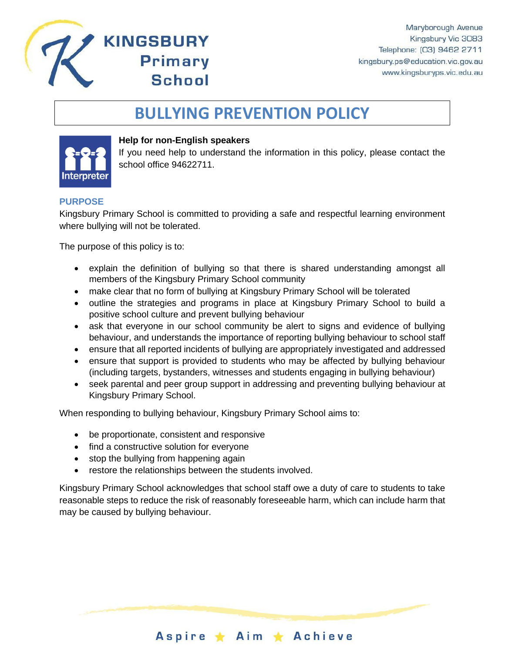

# **BULLYING PREVENTION POLICY**



#### **Help for non-English speakers**

**KINGSBURY** 

**Primary** 

**School** 

If you need help to understand the information in this policy, please contact the school office 94622711.

#### **PURPOSE**

Kingsbury Primary School is committed to providing a safe and respectful learning environment where bullying will not be tolerated.

The purpose of this policy is to:

- explain the definition of bullying so that there is shared understanding amongst all members of the Kingsbury Primary School community
- make clear that no form of bullying at Kingsbury Primary School will be tolerated
- outline the strategies and programs in place at Kingsbury Primary School to build a positive school culture and prevent bullying behaviour
- ask that everyone in our school community be alert to signs and evidence of bullying behaviour, and understands the importance of reporting bullying behaviour to school staff
- ensure that all reported incidents of bullying are appropriately investigated and addressed
- ensure that support is provided to students who may be affected by bullying behaviour (including targets, bystanders, witnesses and students engaging in bullying behaviour)
- seek parental and peer group support in addressing and preventing bullying behaviour at Kingsbury Primary School.

When responding to bullying behaviour, Kingsbury Primary School aims to:

- be proportionate, consistent and responsive
- find a constructive solution for everyone
- stop the bullying from happening again
- restore the relationships between the students involved.

Kingsbury Primary School acknowledges that school staff owe a duty of care to students to take reasonable steps to reduce the risk of reasonably foreseeable harm, which can include harm that may be caused by bullying behaviour.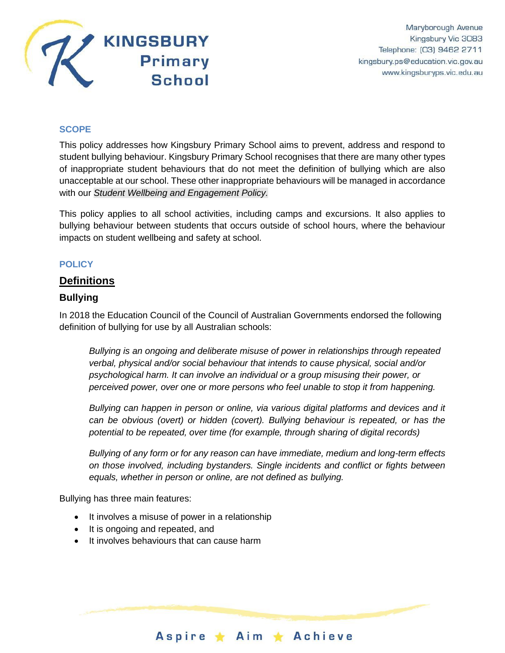

### **SCOPE**

This policy addresses how Kingsbury Primary School aims to prevent, address and respond to student bullying behaviour. Kingsbury Primary School recognises that there are many other types of inappropriate student behaviours that do not meet the definition of bullying which are also unacceptable at our school. These other inappropriate behaviours will be managed in accordance with our *Student Wellbeing and Engagement Policy.*

This policy applies to all school activities, including camps and excursions. It also applies to bullying behaviour between students that occurs outside of school hours, where the behaviour impacts on student wellbeing and safety at school.

#### **POLICY**

### **Definitions**

#### **Bullying**

In 2018 the Education Council of the Council of Australian Governments endorsed the following definition of bullying for use by all Australian schools:

*Bullying is an ongoing and deliberate misuse of power in relationships through repeated verbal, physical and/or social behaviour that intends to cause physical, social and/or psychological harm. It can involve an individual or a group misusing their power, or perceived power, over one or more persons who feel unable to stop it from happening.*

*Bullying can happen in person or online, via various digital platforms and devices and it can be obvious (overt) or hidden (covert). Bullying behaviour is repeated, or has the potential to be repeated, over time (for example, through sharing of digital records)*

*Bullying of any form or for any reason can have immediate, medium and long-term effects on those involved, including bystanders. Single incidents and conflict or fights between equals, whether in person or online, are not defined as bullying.*

Aspire ★ Aim ★ Achieve

Bullying has three main features:

- It involves a misuse of power in a relationship
- It is ongoing and repeated, and
- It involves behaviours that can cause harm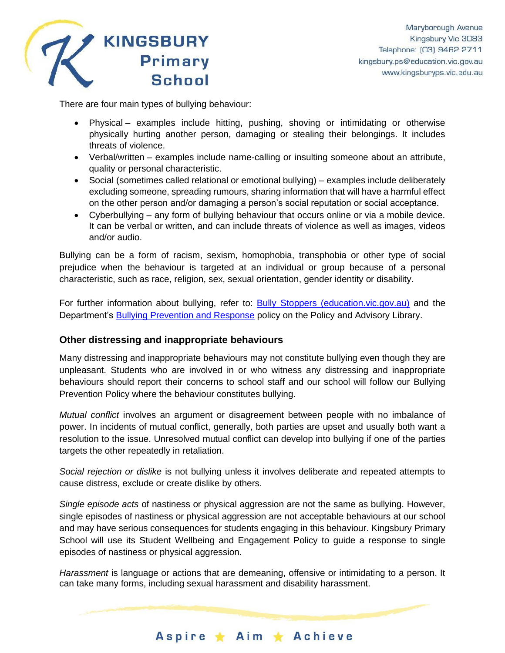

There are four main types of bullying behaviour:

- Physical examples include hitting, pushing, shoving or intimidating or otherwise physically hurting another person, damaging or stealing their belongings. It includes threats of violence.
- Verbal/written examples include name-calling or insulting someone about an attribute, quality or personal characteristic.
- Social (sometimes called relational or emotional bullying) examples include deliberately excluding someone, spreading rumours, sharing information that will have a harmful effect on the other person and/or damaging a person's social reputation or social acceptance.
- Cyberbullying any form of bullying behaviour that occurs online or via a mobile device. It can be verbal or written, and can include threats of violence as well as images, videos and/or audio.

Bullying can be a form of racism, sexism, homophobia, transphobia or other type of social prejudice when the behaviour is targeted at an individual or group because of a personal characteristic, such as race, religion, sex, sexual orientation, gender identity or disability.

For further information about bullying, refer to: [Bully Stoppers \(education.vic.gov.au\)](https://www.education.vic.gov.au/about/programs/bullystoppers/Pages/default.aspx) and the Department's [Bullying Prevention and Response](https://www2.education.vic.gov.au/pal/bullying-prevention-response/policy) policy on the Policy and Advisory Library.

### **Other distressing and inappropriate behaviours**

Many distressing and inappropriate behaviours may not constitute bullying even though they are unpleasant. Students who are involved in or who witness any distressing and inappropriate behaviours should report their concerns to school staff and our school will follow our Bullying Prevention Policy where the behaviour constitutes bullying.

*Mutual conflict* involves an argument or disagreement between people with no imbalance of power. In incidents of mutual conflict, generally, both parties are upset and usually both want a resolution to the issue. Unresolved mutual conflict can develop into bullying if one of the parties targets the other repeatedly in retaliation.

*Social rejection or dislike* is not bullying unless it involves deliberate and repeated attempts to cause distress, exclude or create dislike by others.

*Single episode acts* of nastiness or physical aggression are not the same as bullying. However, single episodes of nastiness or physical aggression are not acceptable behaviours at our school and may have serious consequences for students engaging in this behaviour. Kingsbury Primary School will use its Student Wellbeing and Engagement Policy to guide a response to single episodes of nastiness or physical aggression.

*Harassment* is language or actions that are demeaning, offensive or intimidating to a person. It can take many forms, including sexual harassment and disability harassment.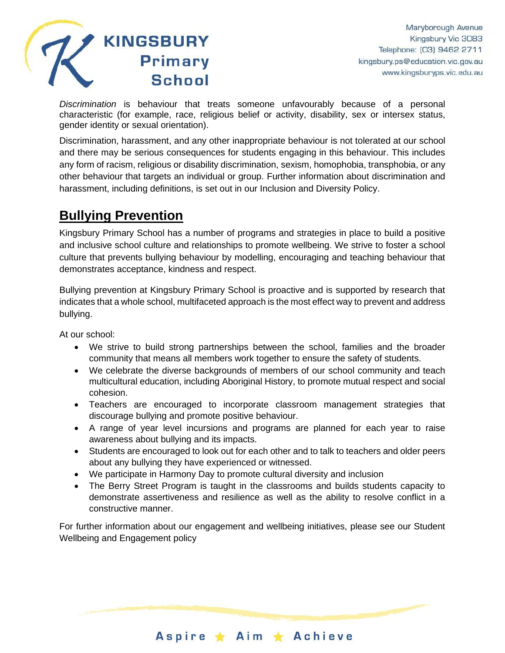

*Discrimination* is behaviour that treats someone unfavourably because of a personal characteristic (for example, race, religious belief or activity, disability, sex or intersex status, gender identity or sexual orientation).

Discrimination, harassment, and any other inappropriate behaviour is not tolerated at our school and there may be serious consequences for students engaging in this behaviour. This includes any form of racism, religious or disability discrimination, sexism, homophobia, transphobia, or any other behaviour that targets an individual or group. Further information about discrimination and harassment, including definitions, is set out in our Inclusion and Diversity Policy.

## **Bullying Prevention**

Kingsbury Primary School has a number of programs and strategies in place to build a positive and inclusive school culture and relationships to promote wellbeing. We strive to foster a school culture that prevents bullying behaviour by modelling, encouraging and teaching behaviour that demonstrates acceptance, kindness and respect.

Bullying prevention at Kingsbury Primary School is proactive and is supported by research that indicates that a whole school, multifaceted approach is the most effect way to prevent and address bullying.

At our school:

- We strive to build strong partnerships between the school, families and the broader community that means all members work together to ensure the safety of students.
- We celebrate the diverse backgrounds of members of our school community and teach multicultural education, including Aboriginal History, to promote mutual respect and social cohesion.
- Teachers are encouraged to incorporate classroom management strategies that discourage bullying and promote positive behaviour.
- A range of year level incursions and programs are planned for each year to raise awareness about bullying and its impacts.
- Students are encouraged to look out for each other and to talk to teachers and older peers about any bullying they have experienced or witnessed.
- We participate in Harmony Day to promote cultural diversity and inclusion
- The Berry Street Program is taught in the classrooms and builds students capacity to demonstrate assertiveness and resilience as well as the ability to resolve conflict in a constructive manner.

For further information about our engagement and wellbeing initiatives, please see our Student Wellbeing and Engagement policy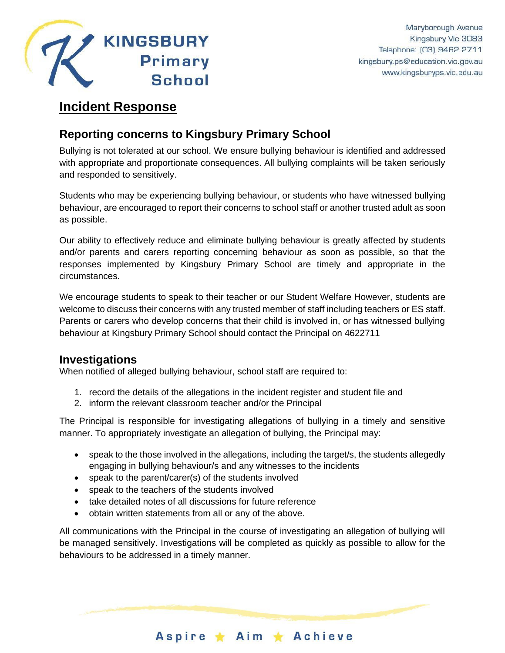

### **Incident Response**

### **Reporting concerns to Kingsbury Primary School**

Bullying is not tolerated at our school. We ensure bullying behaviour is identified and addressed with appropriate and proportionate consequences. All bullying complaints will be taken seriously and responded to sensitively.

Students who may be experiencing bullying behaviour, or students who have witnessed bullying behaviour, are encouraged to report their concerns to school staff or another trusted adult as soon as possible.

Our ability to effectively reduce and eliminate bullying behaviour is greatly affected by students and/or parents and carers reporting concerning behaviour as soon as possible, so that the responses implemented by Kingsbury Primary School are timely and appropriate in the circumstances.

We encourage students to speak to their teacher or our Student Welfare However, students are welcome to discuss their concerns with any trusted member of staff including teachers or ES staff. Parents or carers who develop concerns that their child is involved in, or has witnessed bullying behaviour at Kingsbury Primary School should contact the Principal on 4622711

### **Investigations**

When notified of alleged bullying behaviour, school staff are required to:

- 1. record the details of the allegations in the incident register and student file and
- 2. inform the relevant classroom teacher and/or the Principal

The Principal is responsible for investigating allegations of bullying in a timely and sensitive manner. To appropriately investigate an allegation of bullying, the Principal may:

- speak to the those involved in the allegations, including the target/s, the students allegedly engaging in bullying behaviour/s and any witnesses to the incidents
- speak to the parent/carer(s) of the students involved
- speak to the teachers of the students involved
- take detailed notes of all discussions for future reference
- obtain written statements from all or any of the above.

All communications with the Principal in the course of investigating an allegation of bullying will be managed sensitively. Investigations will be completed as quickly as possible to allow for the behaviours to be addressed in a timely manner.

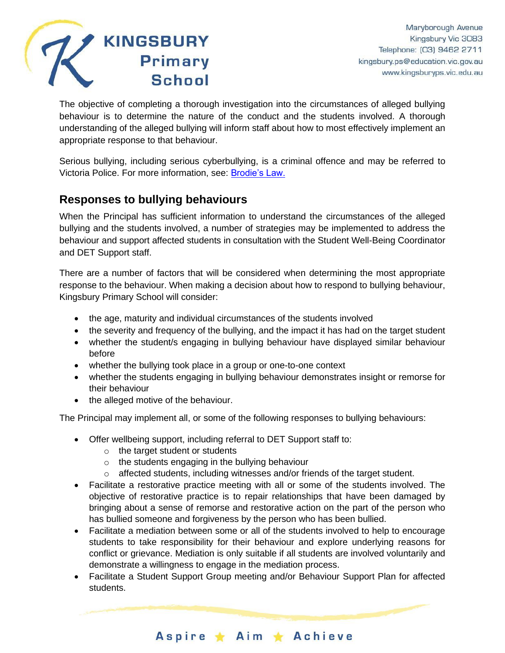

The objective of completing a thorough investigation into the circumstances of alleged bullying behaviour is to determine the nature of the conduct and the students involved. A thorough understanding of the alleged bullying will inform staff about how to most effectively implement an appropriate response to that behaviour.

Serious bullying, including serious cyberbullying, is a criminal offence and may be referred to Victoria Police. For more information, see: [Brodie's Law.](http://www.education.vic.gov.au/about/programs/bullystoppers/Pages/advicesheetbrodieslaw.aspx)

### **Responses to bullying behaviours**

When the Principal has sufficient information to understand the circumstances of the alleged bullying and the students involved, a number of strategies may be implemented to address the behaviour and support affected students in consultation with the Student Well-Being Coordinator and DET Support staff.

There are a number of factors that will be considered when determining the most appropriate response to the behaviour. When making a decision about how to respond to bullying behaviour, Kingsbury Primary School will consider:

- the age, maturity and individual circumstances of the students involved
- the severity and frequency of the bullying, and the impact it has had on the target student
- whether the student/s engaging in bullying behaviour have displayed similar behaviour before
- whether the bullying took place in a group or one-to-one context
- whether the students engaging in bullying behaviour demonstrates insight or remorse for their behaviour
- the alleged motive of the behaviour.

The Principal may implement all, or some of the following responses to bullying behaviours:

- Offer wellbeing support, including referral to DET Support staff to:
	- o the target student or students
	- o the students engaging in the bullying behaviour
	- $\circ$  affected students, including witnesses and/or friends of the target student.
- Facilitate a restorative practice meeting with all or some of the students involved. The objective of restorative practice is to repair relationships that have been damaged by bringing about a sense of remorse and restorative action on the part of the person who has bullied someone and forgiveness by the person who has been bullied.
- Facilitate a mediation between some or all of the students involved to help to encourage students to take responsibility for their behaviour and explore underlying reasons for conflict or grievance. Mediation is only suitable if all students are involved voluntarily and demonstrate a willingness to engage in the mediation process.
- Facilitate a Student Support Group meeting and/or Behaviour Support Plan for affected students.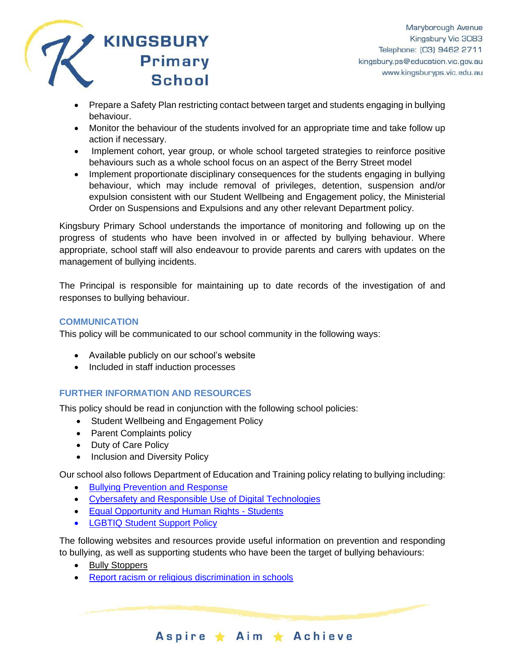

- Prepare a Safety Plan restricting contact between target and students engaging in bullying behaviour.
- Monitor the behaviour of the students involved for an appropriate time and take follow up action if necessary.
- Implement cohort, year group, or whole school targeted strategies to reinforce positive behaviours such as a whole school focus on an aspect of the Berry Street model
- Implement proportionate disciplinary consequences for the students engaging in bullying behaviour, which may include removal of privileges, detention, suspension and/or expulsion consistent with our Student Wellbeing and Engagement policy, the Ministerial Order on Suspensions and Expulsions and any other relevant Department policy.

Kingsbury Primary School understands the importance of monitoring and following up on the progress of students who have been involved in or affected by bullying behaviour. Where appropriate, school staff will also endeavour to provide parents and carers with updates on the management of bullying incidents.

The Principal is responsible for maintaining up to date records of the investigation of and responses to bullying behaviour.

### **COMMUNICATION**

This policy will be communicated to our school community in the following ways:

- Available publicly on our school's website
- Included in staff induction processes

### **FURTHER INFORMATION AND RESOURCES**

This policy should be read in conjunction with the following school policies:

- Student Wellbeing and Engagement Policy
- Parent Complaints policy
- Duty of Care Policy
- Inclusion and Diversity Policy

Our school also follows Department of Education and Training policy relating to bullying including:

- [Bullying Prevention and Response](https://www2.education.vic.gov.au/pal/bullying-prevention-response/policy)
- [Cybersafety and Responsible Use of](https://www2.education.vic.gov.au/pal/cybersafety/policy) Digital Technologies
- [Equal Opportunity and Human Rights -](https://www2.education.vic.gov.au/pal/equal-opportunity-human-rights-students/policy) Students
- [LGBTIQ Student Support Policy](https://www2.education.vic.gov.au/pal/lgbtiq-student-support/policy)

The following websites and resources provide useful information on prevention and responding to bullying, as well as supporting students who have been the target of bullying behaviours:

- [Bully Stoppers](https://www.education.vic.gov.au/about/programs/bullystoppers/Pages/default.aspx)
- [Report racism or religious discrimination in schools](https://www.vic.gov.au/report-racism-or-religious-discrimination-schools)